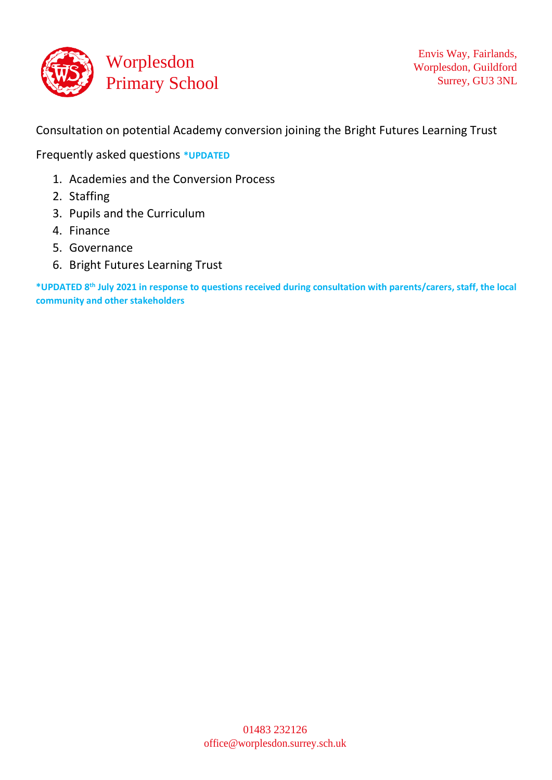

Consultation on potential Academy conversion joining the Bright Futures Learning Trust

Frequently asked questions **\*UPDATED** 

- 1. Academies and the Conversion Process
- 2. Staffing
- 3. Pupils and the Curriculum
- 4. Finance
- 5. Governance
- 6. Bright Futures Learning Trust

**\*UPDATED 8th July 2021 in response to questions received during consultation with parents/carers, staff, the local community and other stakeholders**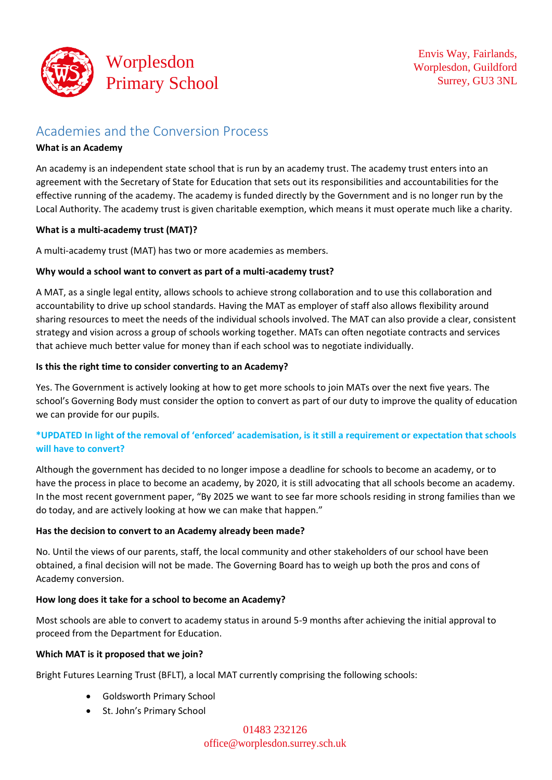

# Academies and the Conversion Process

#### **What is an Academy**

An academy is an independent state school that is run by an academy trust. The academy trust enters into an agreement with the Secretary of State for Education that sets out its responsibilities and accountabilities for the effective running of the academy. The academy is funded directly by the Government and is no longer run by the Local Authority. The academy trust is given charitable exemption, which means it must operate much like a charity.

#### **What is a multi-academy trust (MAT)?**

A multi-academy trust (MAT) has two or more academies as members.

#### **Why would a school want to convert as part of a multi-academy trust?**

A MAT, as a single legal entity, allows schools to achieve strong collaboration and to use this collaboration and accountability to drive up school standards. Having the MAT as employer of staff also allows flexibility around sharing resources to meet the needs of the individual schools involved. The MAT can also provide a clear, consistent strategy and vision across a group of schools working together. MATs can often negotiate contracts and services that achieve much better value for money than if each school was to negotiate individually.

#### **Is this the right time to consider converting to an Academy?**

Yes. The Government is actively looking at how to get more schools to join MATs over the next five years. The school's Governing Body must consider the option to convert as part of our duty to improve the quality of education we can provide for our pupils.

# **\*UPDATED In light of the removal of 'enforced' academisation, is it still a requirement or expectation that schools will have to convert?**

Although the government has decided to no longer impose a deadline for schools to become an academy, or to have the process in place to become an academy, by 2020, it is still advocating that all schools become an academy. In the most recent government paper, "By 2025 we want to see far more schools residing in strong families than we do today, and are actively looking at how we can make that happen."

# **Has the decision to convert to an Academy already been made?**

No. Until the views of our parents, staff, the local community and other stakeholders of our school have been obtained, a final decision will not be made. The Governing Board has to weigh up both the pros and cons of Academy conversion.

# **How long does it take for a school to become an Academy?**

Most schools are able to convert to academy status in around 5-9 months after achieving the initial approval to proceed from the Department for Education.

# **Which MAT is it proposed that we join?**

Bright Futures Learning Trust (BFLT), a local MAT currently comprising the following schools:

- Goldsworth Primary School
- St. John's Primary School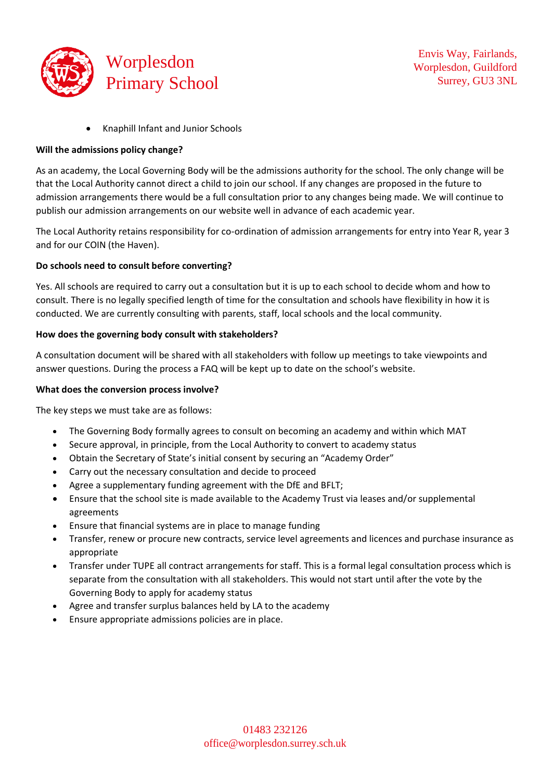

• Knaphill Infant and Junior Schools

#### **Will the admissions policy change?**

As an academy, the Local Governing Body will be the admissions authority for the school. The only change will be that the Local Authority cannot direct a child to join our school. If any changes are proposed in the future to admission arrangements there would be a full consultation prior to any changes being made. We will continue to publish our admission arrangements on our website well in advance of each academic year.

The Local Authority retains responsibility for co-ordination of admission arrangements for entry into Year R, year 3 and for our COIN (the Haven).

#### **Do schools need to consult before converting?**

Yes. All schools are required to carry out a consultation but it is up to each school to decide whom and how to consult. There is no legally specified length of time for the consultation and schools have flexibility in how it is conducted. We are currently consulting with parents, staff, local schools and the local community.

#### **How does the governing body consult with stakeholders?**

A consultation document will be shared with all stakeholders with follow up meetings to take viewpoints and answer questions. During the process a FAQ will be kept up to date on the school's website.

#### **What does the conversion process involve?**

The key steps we must take are as follows:

- The Governing Body formally agrees to consult on becoming an academy and within which MAT
- Secure approval, in principle, from the Local Authority to convert to academy status
- Obtain the Secretary of State's initial consent by securing an "Academy Order"
- Carry out the necessary consultation and decide to proceed
- Agree a supplementary funding agreement with the DfE and BFLT;
- Ensure that the school site is made available to the Academy Trust via leases and/or supplemental agreements
- Ensure that financial systems are in place to manage funding
- Transfer, renew or procure new contracts, service level agreements and licences and purchase insurance as appropriate
- Transfer under TUPE all contract arrangements for staff. This is a formal legal consultation process which is separate from the consultation with all stakeholders. This would not start until after the vote by the Governing Body to apply for academy status
- Agree and transfer surplus balances held by LA to the academy
- Ensure appropriate admissions policies are in place.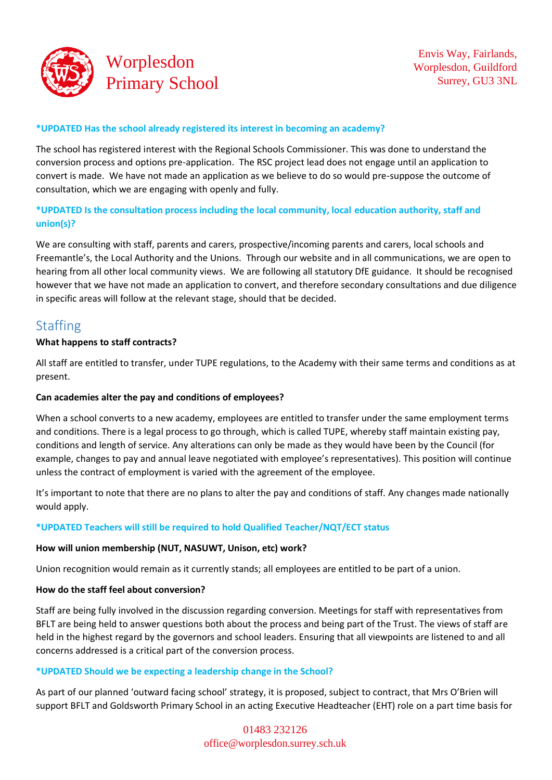

#### **\*UPDATED Has the school already registered its interest in becoming an academy?**

The school has registered interest with the Regional Schools Commissioner. This was done to understand the conversion process and options pre-application. The RSC project lead does not engage until an application to convert is made. We have not made an application as we believe to do so would pre-suppose the outcome of consultation, which we are engaging with openly and fully.

# **\*UPDATED Is the consultation process including the local community, local education authority, staff and union(s)?**

We are consulting with staff, parents and carers, prospective/incoming parents and carers, local schools and Freemantle's, the Local Authority and the Unions. Through our website and in all communications, we are open to hearing from all other local community views. We are following all statutory DfE guidance. It should be recognised however that we have not made an application to convert, and therefore secondary consultations and due diligence in specific areas will follow at the relevant stage, should that be decided.

# **Staffing**

#### **What happens to staff contracts?**

All staff are entitled to transfer, under TUPE regulations, to the Academy with their same terms and conditions as at present.

#### **Can academies alter the pay and conditions of employees?**

When a school converts to a new academy, employees are entitled to transfer under the same employment terms and conditions. There is a legal process to go through, which is called TUPE, whereby staff maintain existing pay, conditions and length of service. Any alterations can only be made as they would have been by the Council (for example, changes to pay and annual leave negotiated with employee's representatives). This position will continue unless the contract of employment is varied with the agreement of the employee.

It's important to note that there are no plans to alter the pay and conditions of staff. Any changes made nationally would apply.

# **\*UPDATED Teachers will still be required to hold Qualified Teacher/NQT/ECT status**

#### **How will union membership (NUT, NASUWT, Unison, etc) work?**

Union recognition would remain as it currently stands; all employees are entitled to be part of a union.

#### **How do the staff feel about conversion?**

Staff are being fully involved in the discussion regarding conversion. Meetings for staff with representatives from BFLT are being held to answer questions both about the process and being part of the Trust. The views of staff are held in the highest regard by the governors and school leaders. Ensuring that all viewpoints are listened to and all concerns addressed is a critical part of the conversion process.

#### **\*UPDATED Should we be expecting a leadership change in the School?**

As part of our planned 'outward facing school' strategy, it is proposed, subject to contract, that Mrs O'Brien will support BFLT and Goldsworth Primary School in an acting Executive Headteacher (EHT) role on a part time basis for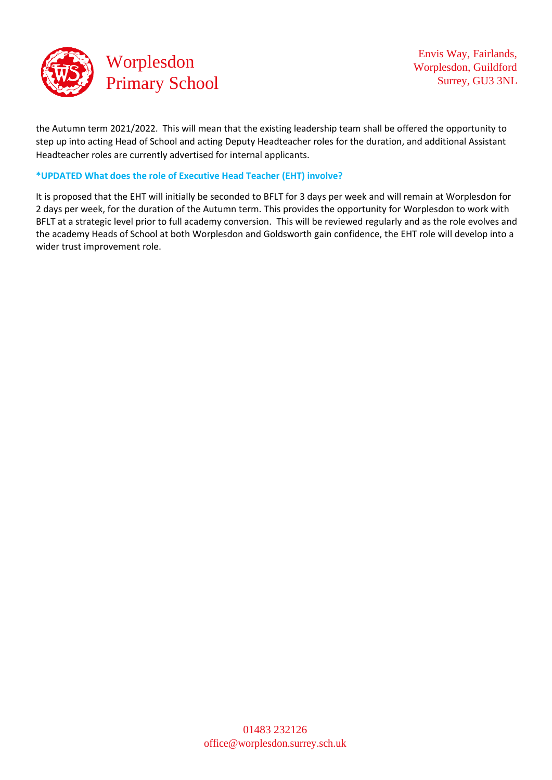

the Autumn term 2021/2022. This will mean that the existing leadership team shall be offered the opportunity to step up into acting Head of School and acting Deputy Headteacher roles for the duration, and additional Assistant Headteacher roles are currently advertised for internal applicants.

#### **\*UPDATED What does the role of Executive Head Teacher (EHT) involve?**

It is proposed that the EHT will initially be seconded to BFLT for 3 days per week and will remain at Worplesdon for 2 days per week, for the duration of the Autumn term. This provides the opportunity for Worplesdon to work with BFLT at a strategic level prior to full academy conversion. This will be reviewed regularly and as the role evolves and the academy Heads of School at both Worplesdon and Goldsworth gain confidence, the EHT role will develop into a wider trust improvement role.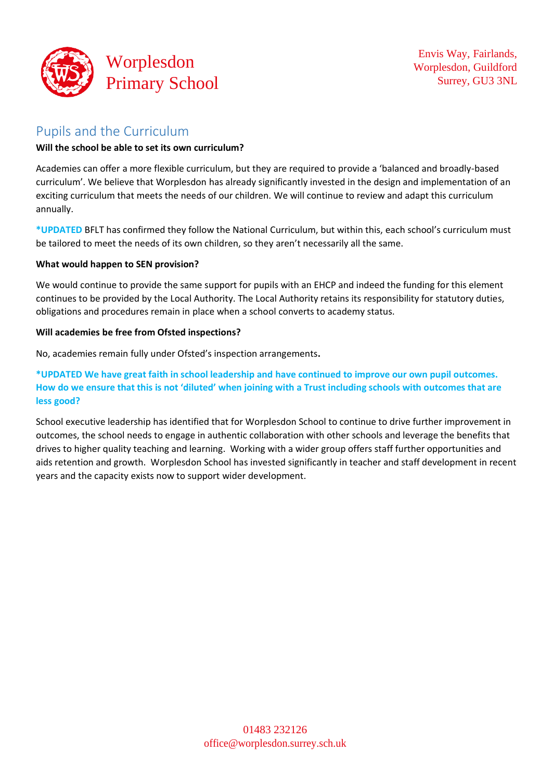

# Pupils and the Curriculum

### **Will the school be able to set its own curriculum?**

Academies can offer a more flexible curriculum, but they are required to provide a 'balanced and broadly-based curriculum'. We believe that Worplesdon has already significantly invested in the design and implementation of an exciting curriculum that meets the needs of our children. We will continue to review and adapt this curriculum annually.

**\*UPDATED** BFLT has confirmed they follow the National Curriculum, but within this, each school's curriculum must be tailored to meet the needs of its own children, so they aren't necessarily all the same.

#### **What would happen to SEN provision?**

We would continue to provide the same support for pupils with an EHCP and indeed the funding for this element continues to be provided by the Local Authority. The Local Authority retains its responsibility for statutory duties, obligations and procedures remain in place when a school converts to academy status.

#### **Will academies be free from Ofsted inspections?**

No, academies remain fully under Ofsted's inspection arrangements**.**

**\*UPDATED We have great faith in school leadership and have continued to improve our own pupil outcomes. How do we ensure that this is not 'diluted' when joining with a Trust including schools with outcomes that are less good?**

School executive leadership has identified that for Worplesdon School to continue to drive further improvement in outcomes, the school needs to engage in authentic collaboration with other schools and leverage the benefits that drives to higher quality teaching and learning. Working with a wider group offers staff further opportunities and aids retention and growth. Worplesdon School has invested significantly in teacher and staff development in recent years and the capacity exists now to support wider development.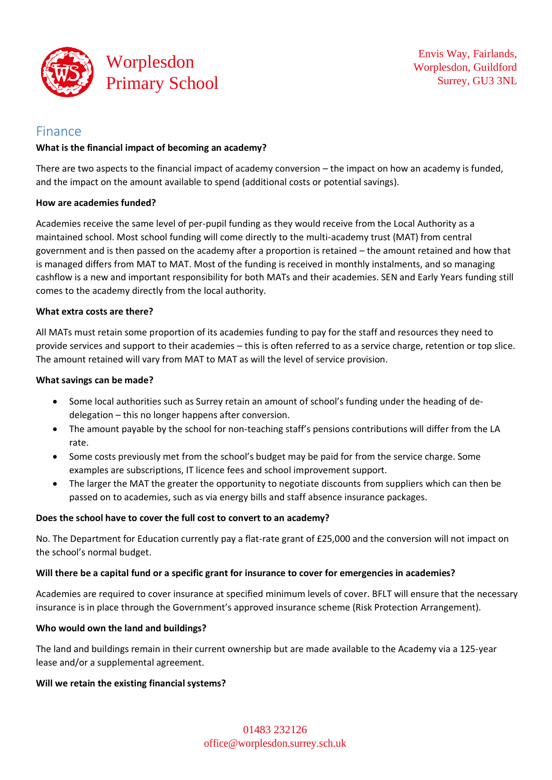

# Finance

#### **What is the financial impact of becoming an academy?**

There are two aspects to the financial impact of academy conversion – the impact on how an academy is funded, and the impact on the amount available to spend (additional costs or potential savings).

#### **How are academies funded?**

Academies receive the same level of per-pupil funding as they would receive from the Local Authority as a maintained school. Most school funding will come directly to the multi-academy trust (MAT) from central government and is then passed on the academy after a proportion is retained – the amount retained and how that is managed differs from MAT to MAT. Most of the funding is received in monthly instalments, and so managing cashflow is a new and important responsibility for both MATs and their academies. SEN and Early Years funding still comes to the academy directly from the local authority.

#### **What extra costs are there?**

All MATs must retain some proportion of its academies funding to pay for the staff and resources they need to provide services and support to their academies – this is often referred to as a service charge, retention or top slice. The amount retained will vary from MAT to MAT as will the level of service provision.

#### **What savings can be made?**

- Some local authorities such as Surrey retain an amount of school's funding under the heading of dedelegation – this no longer happens after conversion.
- The amount payable by the school for non-teaching staff's pensions contributions will differ from the LA rate.
- Some costs previously met from the school's budget may be paid for from the service charge. Some examples are subscriptions, IT licence fees and school improvement support.
- The larger the MAT the greater the opportunity to negotiate discounts from suppliers which can then be passed on to academies, such as via energy bills and staff absence insurance packages.

# **Does the school have to cover the full cost to convert to an academy?**

No. The Department for Education currently pay a flat-rate grant of £25,000 and the conversion will not impact on the school's normal budget.

#### **Will there be a capital fund or a specific grant for insurance to cover for emergencies in academies?**

Academies are required to cover insurance at specified minimum levels of cover. BFLT will ensure that the necessary insurance is in place through the Government's approved insurance scheme (Risk Protection Arrangement).

#### **Who would own the land and buildings?**

The land and buildings remain in their current ownership but are made available to the Academy via a 125-year lease and/or a supplemental agreement.

#### **Will we retain the existing financial systems?**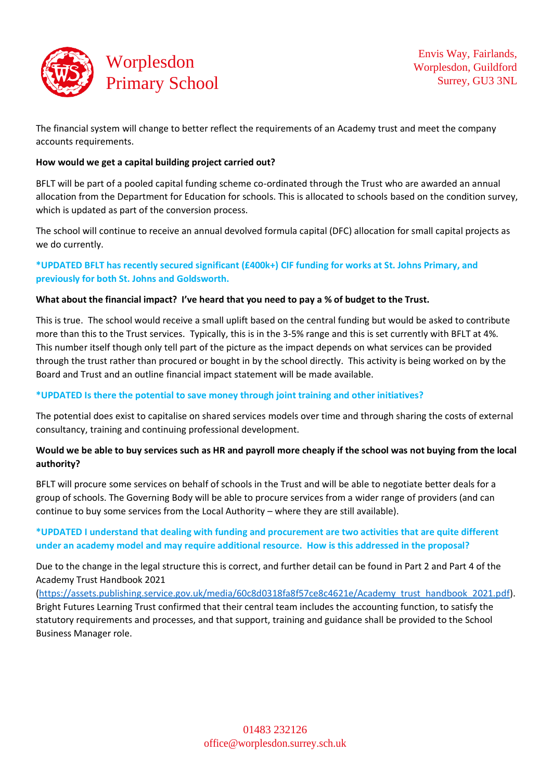

The financial system will change to better reflect the requirements of an Academy trust and meet the company accounts requirements.

#### **How would we get a capital building project carried out?**

BFLT will be part of a pooled capital funding scheme co-ordinated through the Trust who are awarded an annual allocation from the Department for Education for schools. This is allocated to schools based on the condition survey, which is updated as part of the conversion process.

The school will continue to receive an annual devolved formula capital (DFC) allocation for small capital projects as we do currently.

# **\*UPDATED BFLT has recently secured significant (£400k+) CIF funding for works at St. Johns Primary, and previously for both St. Johns and Goldsworth.**

#### **What about the financial impact? I've heard that you need to pay a % of budget to the Trust.**

This is true. The school would receive a small uplift based on the central funding but would be asked to contribute more than this to the Trust services. Typically, this is in the 3-5% range and this is set currently with BFLT at 4%. This number itself though only tell part of the picture as the impact depends on what services can be provided through the trust rather than procured or bought in by the school directly. This activity is being worked on by the Board and Trust and an outline financial impact statement will be made available.

#### **\*UPDATED Is there the potential to save money through joint training and other initiatives?**

The potential does exist to capitalise on shared services models over time and through sharing the costs of external consultancy, training and continuing professional development.

# **Would we be able to buy services such as HR and payroll more cheaply if the school was not buying from the local authority?**

BFLT will procure some services on behalf of schools in the Trust and will be able to negotiate better deals for a group of schools. The Governing Body will be able to procure services from a wider range of providers (and can continue to buy some services from the Local Authority – where they are still available).

# **\*UPDATED I understand that dealing with funding and procurement are two activities that are quite different under an academy model and may require additional resource. How is this addressed in the proposal?**

Due to the change in the legal structure this is correct, and further detail can be found in Part 2 and Part 4 of the Academy Trust Handbook 2021

[\(https://assets.publishing.service.gov.uk/media/60c8d0318fa8f57ce8c4621e/Academy\\_trust\\_handbook\\_2021.pdf\)](https://assets.publishing.service.gov.uk/media/60c8d0318fa8f57ce8c4621e/Academy_trust_handbook_2021.pdf). Bright Futures Learning Trust confirmed that their central team includes the accounting function, to satisfy the statutory requirements and processes, and that support, training and guidance shall be provided to the School Business Manager role.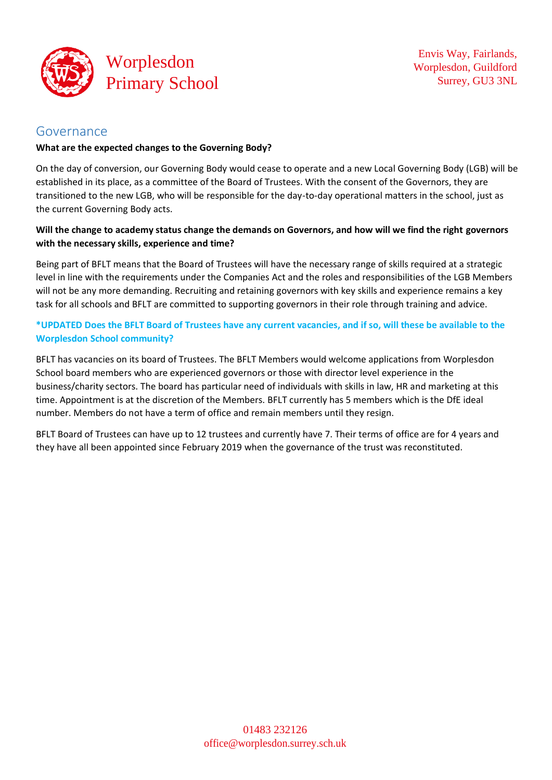

# Governance

#### **What are the expected changes to the Governing Body?**

On the day of conversion, our Governing Body would cease to operate and a new Local Governing Body (LGB) will be established in its place, as a committee of the Board of Trustees. With the consent of the Governors, they are transitioned to the new LGB, who will be responsible for the day-to-day operational matters in the school, just as the current Governing Body acts.

# **Will the change to academy status change the demands on Governors, and how will we find the right governors with the necessary skills, experience and time?**

Being part of BFLT means that the Board of Trustees will have the necessary range of skills required at a strategic level in line with the requirements under the Companies Act and the roles and responsibilities of the LGB Members will not be any more demanding. Recruiting and retaining governors with key skills and experience remains a key task for all schools and BFLT are committed to supporting governors in their role through training and advice.

# **\*UPDATED Does the BFLT Board of Trustees have any current vacancies, and if so, will these be available to the Worplesdon School community?**

BFLT has vacancies on its board of Trustees. The BFLT Members would welcome applications from Worplesdon School board members who are experienced governors or those with director level experience in the business/charity sectors. The board has particular need of individuals with skills in law, HR and marketing at this time. Appointment is at the discretion of the Members. BFLT currently has 5 members which is the DfE ideal number. Members do not have a term of office and remain members until they resign.

BFLT Board of Trustees can have up to 12 trustees and currently have 7. Their terms of office are for 4 years and they have all been appointed since February 2019 when the governance of the trust was reconstituted.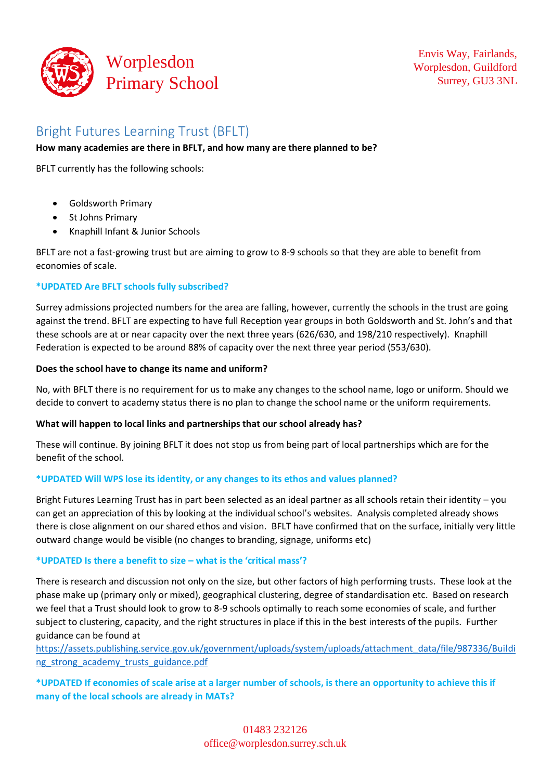

# Bright Futures Learning Trust (BFLT)

#### **How many academies are there in BFLT, and how many are there planned to be?**

BFLT currently has the following schools:

- Goldsworth Primary
- St Johns Primary
- Knaphill Infant & Junior Schools

BFLT are not a fast-growing trust but are aiming to grow to 8-9 schools so that they are able to benefit from economies of scale.

#### **\*UPDATED Are BFLT schools fully subscribed?**

Surrey admissions projected numbers for the area are falling, however, currently the schools in the trust are going against the trend. BFLT are expecting to have full Reception year groups in both Goldsworth and St. John's and that these schools are at or near capacity over the next three years (626/630, and 198/210 respectively). Knaphill Federation is expected to be around 88% of capacity over the next three year period (553/630).

#### **Does the school have to change its name and uniform?**

No, with BFLT there is no requirement for us to make any changes to the school name, logo or uniform. Should we decide to convert to academy status there is no plan to change the school name or the uniform requirements.

#### **What will happen to local links and partnerships that our school already has?**

These will continue. By joining BFLT it does not stop us from being part of local partnerships which are for the benefit of the school.

# **\*UPDATED Will WPS lose its identity, or any changes to its ethos and values planned?**

Bright Futures Learning Trust has in part been selected as an ideal partner as all schools retain their identity – you can get an appreciation of this by looking at the individual school's websites. Analysis completed already shows there is close alignment on our shared ethos and vision. BFLT have confirmed that on the surface, initially very little outward change would be visible (no changes to branding, signage, uniforms etc)

#### **\*UPDATED Is there a benefit to size – what is the 'critical mass'?**

There is research and discussion not only on the size, but other factors of high performing trusts. These look at the phase make up (primary only or mixed), geographical clustering, degree of standardisation etc. Based on research we feel that a Trust should look to grow to 8-9 schools optimally to reach some economies of scale, and further subject to clustering, capacity, and the right structures in place if this in the best interests of the pupils. Further guidance can be found at

[https://assets.publishing.service.gov.uk/government/uploads/system/uploads/attachment\\_data/file/987336/Buildi](https://assets.publishing.service.gov.uk/government/uploads/system/uploads/attachment_data/file/987336/Building_strong_academy_trusts_guidance.pdf) [ng\\_strong\\_academy\\_trusts\\_guidance.pdf](https://assets.publishing.service.gov.uk/government/uploads/system/uploads/attachment_data/file/987336/Building_strong_academy_trusts_guidance.pdf)

# **\*UPDATED If economies of scale arise at a larger number of schools, is there an opportunity to achieve this if many of the local schools are already in MATs?**

01483 232126 [office@worplesdon.surrey.sch.uk](mailto:office@worplesdon.surrey.sch.uk)